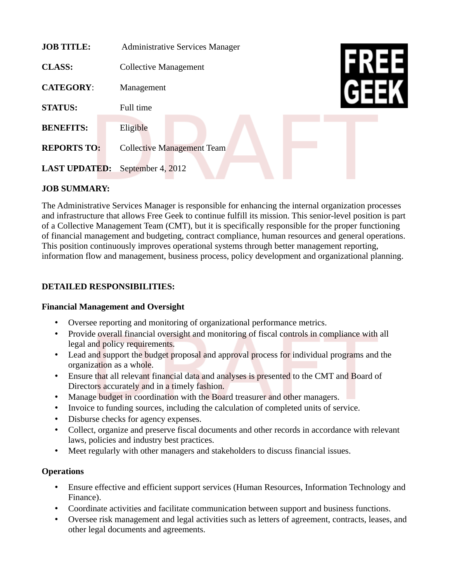| <b>JOB TITLE:</b>    | <b>Administrative Services Manager</b> |  |
|----------------------|----------------------------------------|--|
| <b>CLASS:</b>        | <b>Collective Management</b>           |  |
| <b>CATEGORY:</b>     | Management                             |  |
| <b>STATUS:</b>       | Full time                              |  |
| <b>BENEFITS:</b>     | Eligible                               |  |
| <b>REPORTS TO:</b>   | <b>Collective Management Team</b>      |  |
| <b>LAST UPDATED:</b> | September 4, 2012                      |  |

### **JOB SUMMARY:**

The Administrative Services Manager is responsible for enhancing the internal organization processes and infrastructure that allows Free Geek to continue fulfill its mission. This senior-level position is part of a Collective Management Team (CMT), but it is specifically responsible for the proper functioning of financial management and budgeting, contract compliance, human resources and general operations. This position continuously improves operational systems through better management reporting, information flow and management, business process, policy development and organizational planning.

#### **DETAILED RESPONSIBILITIES:**

#### **Financial Management and Oversight**

- Oversee reporting and monitoring of organizational performance metrics.
- Provide overall financial oversight and monitoring of fiscal controls in compliance with all legal and policy requirements.
- Lead and support the budget proposal and approval process for individual programs and the organization as a whole.
- Ensure that all relevant financial data and analyses is presented to the CMT and Board of Directors accurately and in a timely fashion.
- Manage budget in coordination with the Board treasurer and other managers.
- Invoice to funding sources, including the calculation of completed units of service.
- Disburse checks for agency expenses.
- Collect, organize and preserve fiscal documents and other records in accordance with relevant laws, policies and industry best practices.
- Meet regularly with other managers and stakeholders to discuss financial issues.

#### **Operations**

- Ensure effective and efficient support services (Human Resources, Information Technology and Finance).
- Coordinate activities and facilitate communication between support and business functions.
- Oversee risk management and legal activities such as letters of agreement, contracts, leases, and other legal documents and agreements.